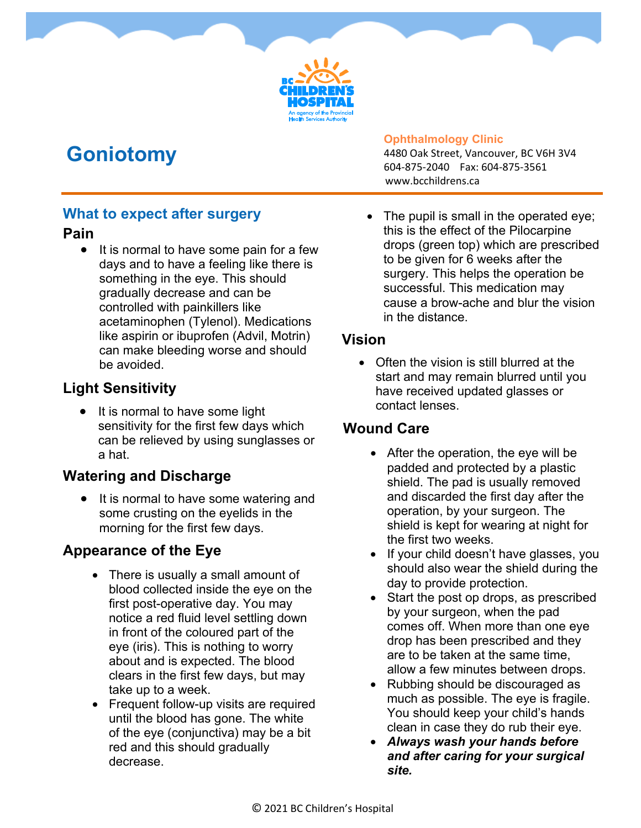# **Goniotomy**

#### **Ophthalmology Clinic**

4480 Oak Street, Vancouver, BC V6H 3V4 604-875-2040 Fax: 604-875-3561 www.bcchildrens.ca

#### **What to expect after surgery**

#### **Pain**

• It is normal to have some pain for a few days and to have a feeling like there is something in the eye. This should gradually decrease and can be controlled with painkillers like acetaminophen (Tylenol). Medications like aspirin or ibuprofen (Advil, Motrin) can make bleeding worse and should be avoided.

## **Light Sensitivity**

 It is normal to have some light sensitivity for the first few days which can be relieved by using sunglasses or a hat.

### **Watering and Discharge**

 It is normal to have some watering and some crusting on the eyelids in the morning for the first few days.

## **Appearance of the Eye**

- There is usually a small amount of blood collected inside the eye on the first post-operative day. You may notice a red fluid level settling down in front of the coloured part of the eye (iris). This is nothing to worry about and is expected. The blood clears in the first few days, but may take up to a week.
- Frequent follow-up visits are required until the blood has gone. The white of the eye (conjunctiva) may be a bit red and this should gradually decrease.

The pupil is small in the operated eye; this is the effect of the Pilocarpine drops (green top) which are prescribed to be given for 6 weeks after the surgery. This helps the operation be successful. This medication may cause a brow-ache and blur the vision in the distance.

### **Vision**

• Often the vision is still blurred at the start and may remain blurred until you have received updated glasses or contact lenses.

## **Wound Care**

- After the operation, the eye will be padded and protected by a plastic shield. The pad is usually removed and discarded the first day after the operation, by your surgeon. The shield is kept for wearing at night for the first two weeks.
- If your child doesn't have glasses, you should also wear the shield during the day to provide protection.
- Start the post op drops, as prescribed by your surgeon, when the pad comes off. When more than one eye drop has been prescribed and they are to be taken at the same time, allow a few minutes between drops.
- Rubbing should be discouraged as much as possible. The eye is fragile. You should keep your child's hands clean in case they do rub their eye.
- *Always wash your hands before and after caring for your surgical site.*